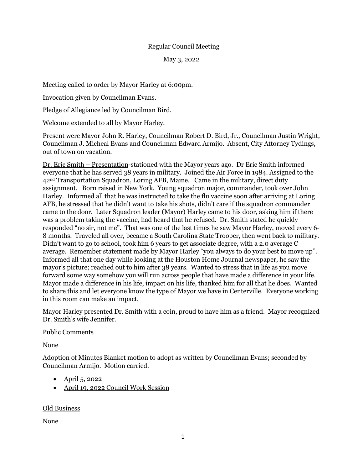## Regular Council Meeting

May 3, 2022

Meeting called to order by Mayor Harley at 6:00pm.

Invocation given by Councilman Evans.

Pledge of Allegiance led by Councilman Bird.

Welcome extended to all by Mayor Harley.

Present were Mayor John R. Harley, Councilman Robert D. Bird, Jr., Councilman Justin Wright, Councilman J. Micheal Evans and Councilman Edward Armijo. Absent, City Attorney Tydings, out of town on vacation.

Dr. Eric Smith – Presentation-stationed with the Mayor years ago. Dr Eric Smith informed everyone that he has served 38 years in military. Joined the Air Force in 1984. Assigned to the  $42<sup>nd</sup>$  Transportation Squadron, Loring AFB, Maine. Came in the military, direct duty assignment. Born raised in New York. Young squadron major, commander, took over John Harley. Informed all that he was instructed to take the flu vaccine soon after arriving at Loring AFB, he stressed that he didn't want to take his shots, didn't care if the squadron commander came to the door. Later Squadron leader (Mayor) Harley came to his door, asking him if there was a problem taking the vaccine, had heard that he refused. Dr. Smith stated he quickly responded "no sir, not me". That was one of the last times he saw Mayor Harley, moved every 6- 8 months. Traveled all over, became a South Carolina State Trooper, then went back to military. Didn't want to go to school, took him 6 years to get associate degree, with a 2.0 average C average. Remember statement made by Mayor Harley "you always to do your best to move up". Informed all that one day while looking at the Houston Home Journal newspaper, he saw the mayor's picture; reached out to him after 38 years. Wanted to stress that in life as you move forward some way somehow you will run across people that have made a difference in your life. Mayor made a difference in his life, impact on his life, thanked him for all that he does. Wanted to share this and let everyone know the type of Mayor we have in Centerville. Everyone working in this room can make an impact.

Mayor Harley presented Dr. Smith with a coin, proud to have him as a friend. Mayor recognized Dr. Smith's wife Jennifer.

Public Comments

None

Adoption of Minutes Blanket motion to adopt as written by Councilman Evans; seconded by Councilman Armijo. Motion carried.

- April 5, 2022
- April 19, 2022 Council Work Session

Old Business

None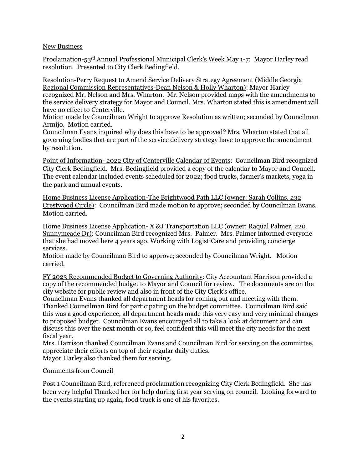## New Business

Proclamation-53rd Annual Professional Municipal Clerk's Week May 1-7: Mayor Harley read resolution. Presented to City Clerk Bedingfield.

Resolution-Perry Request to Amend Service Delivery Strategy Agreement (Middle Georgia Regional Commission Representatives-Dean Nelson & Holly Wharton): Mayor Harley recognized Mr. Nelson and Mrs. Wharton. Mr. Nelson provided maps with the amendments to the service delivery strategy for Mayor and Council. Mrs. Wharton stated this is amendment will have no effect to Centerville.

Motion made by Councilman Wright to approve Resolution as written; seconded by Councilman Armijo. Motion carried.

Councilman Evans inquired why does this have to be approved? Mrs. Wharton stated that all governing bodies that are part of the service delivery strategy have to approve the amendment by resolution.

Point of Information- 2022 City of Centerville Calendar of Events: Councilman Bird recognized City Clerk Bedingfield. Mrs. Bedingfield provided a copy of the calendar to Mayor and Council. The event calendar included events scheduled for 2022; food trucks, farmer's markets, yoga in the park and annual events.

Home Business License Application-The Brightwood Path LLC (owner: Sarah Collins, 232 Crestwood Circle): Councilman Bird made motion to approve; seconded by Councilman Evans. Motion carried.

Home Business License Application- X &J Transportation LLC (owner: Raqual Palmer, 220 Sunnymeade Dr): Councilman Bird recognized Mrs. Palmer. Mrs. Palmer informed everyone that she had moved here 4 years ago. Working with LogistiCare and providing concierge services.

Motion made by Councilman Bird to approve; seconded by Councilman Wright. Motion carried.

FY 2023 Recommended Budget to Governing Authority: City Accountant Harrison provided a copy of the recommended budget to Mayor and Council for review. The documents are on the city website for public review and also in front of the City Clerk's office.

Councilman Evans thanked all department heads for coming out and meeting with them. Thanked Councilman Bird for participating on the budget committee. Councilman Bird said this was a good experience, all department heads made this very easy and very minimal changes to proposed budget. Councilman Evans encouraged all to take a look at document and can discuss this over the next month or so, feel confident this will meet the city needs for the next fiscal year.

Mrs. Harrison thanked Councilman Evans and Councilman Bird for serving on the committee, appreciate their efforts on top of their regular daily duties.

Mayor Harley also thanked them for serving.

## Comments from Council

Post 1 Councilman Bird, referenced proclamation recognizing City Clerk Bedingfield. She has been very helpful Thanked her for help during first year serving on council. Looking forward to the events starting up again, food truck is one of his favorites.